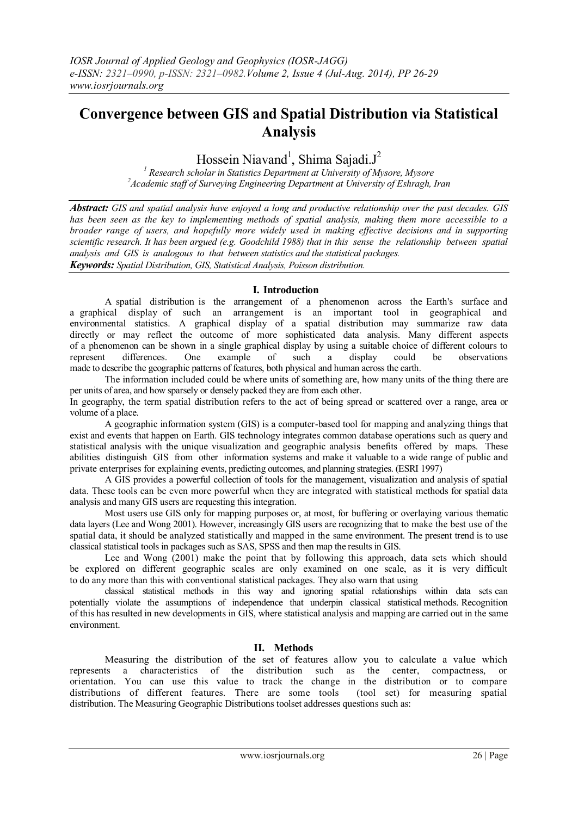# **Convergence between GIS and Spatial Distribution via Statistical Analysis**

## Hossein Niavand<sup>1</sup>, Shima Sajadi.J<sup>2</sup>

*<sup>1</sup> Research scholar in Statistics Department at University of Mysore, Mysore <sup>2</sup>Academic staff of Surveying Engineering Department at University of Eshragh, Iran*

*Abstract: GIS and spatial analysis have enjoyed a long and productive relationship over the past decades. GIS has been seen as the key to implementing methods of spatial analysis, making them more accessible to a broader range of users, and hopefully more widely used in making effective decisions and in supporting scientific research. It has been argued (e.g. Goodchild 1988) that in this sense the relationship between spatial analysis and GIS is analogous to that between statistics and the statistical packages. Keywords: Spatial Distribution, GIS, Statistical Analysis, Poisson distribution.* 

## **I. Introduction**

A spatial distribution is the arrangement of a phenomenon across the Earth's surface and a graphical display of such an arrangement is an important tool in geographical and environmental statistics. A graphical display of a spatial distribution may summarize raw data directly or may reflect the outcome of more sophisticated data analysis. Many different aspects of a phenomenon can be shown in a single graphical display by using a suitable choice of different colours to represent differences. One example of such a display could be observations made to describe the geographic patterns of features, both physical and human across the earth.

The information included could be where units of something are, how many units of the thing there are per units of area, and how sparsely or densely packed they are from each other.

In geography, the term spatial distribution refers to the act of being spread or scattered over a range, area or volume of a place.

A geographic information system (GIS) is a computer-based tool for mapping and analyzing things that exist and events that happen on Earth. GIS technology integrates common database operations such as query and statistical analysis with the unique visualization and geographic analysis benefits offered by maps. These abilities distinguish GIS from other information systems and make it valuable to a wide range of public and private enterprises for explaining events, predicting outcomes, and planning strategies. (ESRI 1997)

A GIS provides a powerful collection of tools for the management, visualization and analysis of spatial data. These tools can be even more powerful when they are integrated with statistical methods for spatial data analysis and many GIS users are requesting this integration.

Most users use GIS only for mapping purposes or, at most, for buffering or overlaying various thematic data layers (Lee and Wong 2001). However, increasingly GIS users are recognizing that to make the best use of the spatial data, it should be analyzed statistically and mapped in the same environment. The present trend is to use classical statistical tools in packages such as SAS, SPSS and then map the results in GIS.

Lee and Wong (2001) make the point that by following this approach, data sets which should be explored on different geographic scales are only examined on one scale, as it is very difficult to do any more than this with conventional statistical packages. They also warn that using

classical statistical methods in this way and ignoring spatial relationships within data sets can potentially violate the assumptions of independence that underpin classical statistical methods. Recognition of this has resulted in new developments in GIS, where statistical analysis and mapping are carried out in the same environment.

## **II. Methods**

Measuring the distribution of the set of features allow you to calculate a value which represents a characteristics of the distribution such as the center, compactness, or orientation. You can use this value to track the change in the distribution or to compare distributions of different features. There are some tools (tool set) for measuring spatial distribution. The Measuring Geographic Distributions toolset addresses questions such as: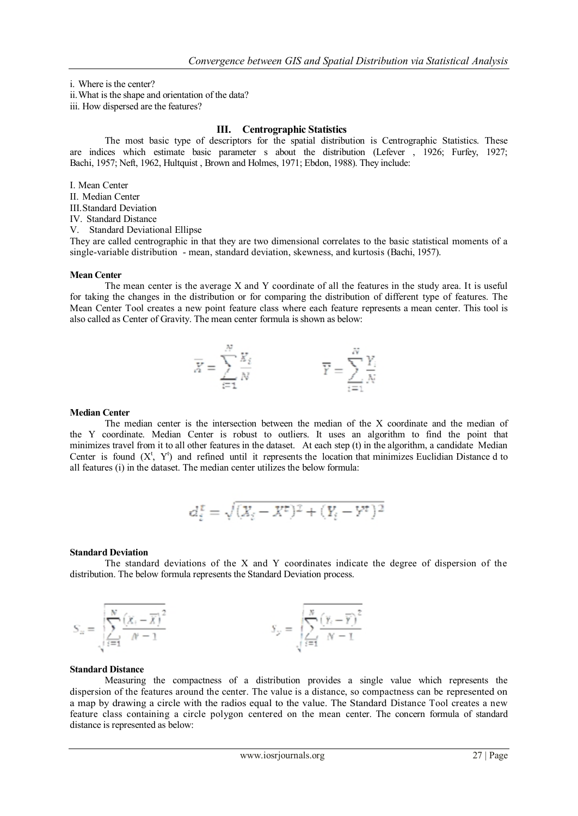i. Where is the center?

ii.What is the shape and orientation of the data?

iii. How dispersed are the features?

## **III. Centrographic Statistics**

The most basic type of descriptors for the spatial distribution is Centrographic Statistics. These are indices which estimate basic parameter s about the distribution (Lefever , 1926; Furfey, 1927; Bachi, 1957; Neft, 1962, Hultquist , Brown and Holmes, 1971; Ebdon, 1988). They include:

I. Mean Center

II. Median Center

III.Standard Deviation

IV. Standard Distance

V. Standard Deviational Ellipse

They are called centrographic in that they are two dimensional correlates to the basic statistical moments of a single-variable distribution - mean, standard deviation, skewness, and kurtosis (Bachi, 1957).

#### **Mean Center**

The mean center is the average X and Y coordinate of all the features in the study area. It is useful for taking the changes in the distribution or for comparing the distribution of different type of features. The Mean Center Tool creates a new point feature class where each feature represents a mean center. This tool is also called as Center of Gravity. The mean center formula is shown as below:

$$
\overline{X} = \sum_{i=1}^{N} \frac{X_i}{N}
$$
 
$$
\overline{Y} = \sum_{i=1}^{N} \frac{Y_i}{N}
$$

#### **Median Center**

The median center is the intersection between the median of the X coordinate and the median of the Y coordinate. Median Center is robust to outliers. It uses an algorithm to find the point that minimizes travel from it to all other features in the dataset. At each step (t) in the algorithm, a candidate Median Center is found  $(X^t, Y^t)$  and refined until it represents the location that minimizes Euclidian Distance d to all features (i) in the dataset. The median center utilizes the below formula:

$$
d_i^x = \sqrt{(X_i - X^t)^2 + (Y_i - Y^t)^2}
$$

#### **Standard Deviation**

The standard deviations of the X and Y coordinates indicate the degree of dispersion of the distribution. The below formula represents the Standard Deviation process.

$$
S_n = \sqrt{\sum_{i=1}^N \frac{\left(X_i - \overline{X}\right)^2}{N-1}}
$$
\n
$$
S_{\mathcal{F}} = \sqrt{\sum_{i=1}^N \frac{\left(Y_i - \overline{Y}\right)^2}{N-1}}
$$

#### **Standard Distance**

Measuring the compactness of a distribution provides a single value which represents the dispersion of the features around the center. The value is a distance, so compactness can be represented on a map by drawing a circle with the radios equal to the value. The Standard Distance Tool creates a new feature class containing a circle polygon centered on the mean center. The concern formula of standard distance is represented as below: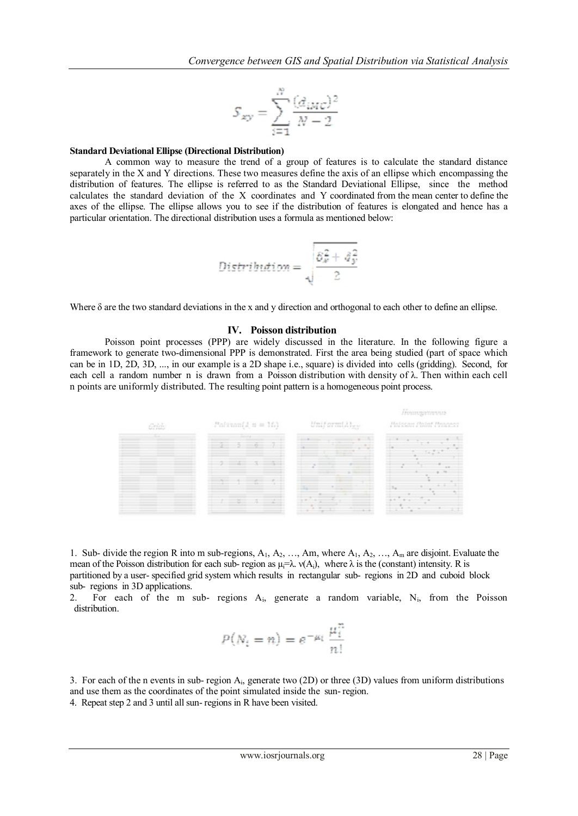$$
S_{xy} = \sum_{i=1}^{N} \frac{(d_{iMC})^2}{N-2}
$$

#### **Standard Deviational Ellipse (Directional Distribution)**

A common way to measure the trend of a group of features is to calculate the standard distance separately in the X and Y directions. These two measures define the axis of an ellipse which encompassing the distribution of features. The ellipse is referred to as the Standard Deviational Ellipse, since the method calculates the standard deviation of the X coordinates and Y coordinated from the mean center to define the axes of the ellipse. The ellipse allows you to see if the distribution of features is elongated and hence has a particular orientation. The directional distribution uses a formula as mentioned below:

$$
\text{Distribution} = \sqrt{\frac{\delta_x^2 + \delta_y^2}{2}}
$$

Where  $\delta$  are the two standard deviations in the x and y direction and orthogonal to each other to define an ellipse.

#### **IV. Poisson distribution**

Poisson point processes (PPP) are widely discussed in the literature. In the following figure a framework to generate two-dimensional PPP is demonstrated. First the area being studied (part of space which can be in 1D, 2D, 3D, ..., in our example is a 2D shape i.e., square) is divided into cells (gridding). Second, for each cell a random number n is drawn from a Poisson distribution with density of λ. Then within each cell n points are uniformly distributed. The resulting point pattern is a homogeneous point process.

| <b>CONTROL</b> | $Pairum11 n = 161$                                                                                                                                                                                                                                       | Uniformiales<br>the control of the con-                                                                                                                                                                        | A CA MAN PORT OF RIGHT<br>Hateran Holmt Houses                                                                 |
|----------------|----------------------------------------------------------------------------------------------------------------------------------------------------------------------------------------------------------------------------------------------------------|----------------------------------------------------------------------------------------------------------------------------------------------------------------------------------------------------------------|----------------------------------------------------------------------------------------------------------------|
|                | 2 5 6 7                                                                                                                                                                                                                                                  | and the control of the state<br>and and said<br>and the company's state of the<br>the property of the control of the con-                                                                                      |                                                                                                                |
|                |                                                                                                                                                                                                                                                          |                                                                                                                                                                                                                |                                                                                                                |
|                |                                                                                                                                                                                                                                                          |                                                                                                                                                                                                                |                                                                                                                |
|                | sense that you can come at the common a detected of<br>the contract of the contract of the contract of the contract of the con-<br>and the company's company's company's company's company's company's company's company's company's company's company's | and the property of the company's<br>The part of the<br>and the distance of the company of the company of the company of the company of<br>and and the company of the company of the company of the company of | <b>STATISTICS</b><br>to the transit of the contract processes and<br>to do al Maria and all the control<br>--- |

1. Sub- divide the region R into m sub-regions,  $A_1$ ,  $A_2$ , ..., Am, where  $A_1$ ,  $A_2$ , ...,  $A_m$  are disjoint. Evaluate the mean of the Poisson distribution for each sub- region as  $\mu = \lambda$ .  $v(A_i)$ , where  $\lambda$  is the (constant) intensity. R is partitioned by a user- specified grid system which results in rectangular sub- regions in 2D and cuboid block sub- regions in 3D applications.

2. For each of the m sub- regions  $A_i$ , generate a random variable,  $N_i$ , from the Poisson distribution.

$$
P(N_i = n) = e^{-\mu_i} \frac{\mu_i^n}{n!}
$$

3. For each of the n events in sub- region  $A_i$ , generate two (2D) or three (3D) values from uniform distributions and use them as the coordinates of the point simulated inside the sun- region.

4. Repeat step 2 and 3 until all sun- regions in R have been visited.